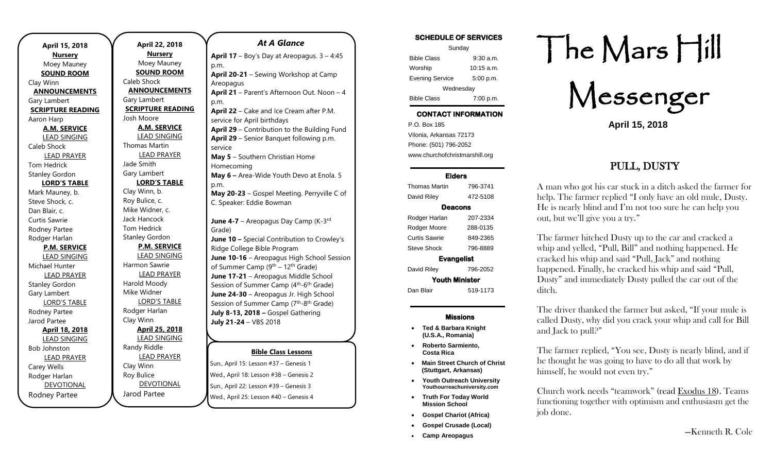| April 15, 2018           |                          |
|--------------------------|--------------------------|
| <b>Nursery</b>           |                          |
| Moey Mauney              |                          |
| <b>SOUND ROOM</b>        |                          |
| Clay Winn                | (                        |
| <b>ANNOUNCEMENTS</b>     |                          |
| Gary Lambert             | (                        |
| <b>SCRIPTURE READING</b> |                          |
| Aaron Harp               | J                        |
| <b>A.M. SERVICE</b>      |                          |
| <b>LEAD SINGING</b>      |                          |
| Caleb Shock              | ٦                        |
| <b>LEAD PRAYER</b>       |                          |
| Tom Hedrick              | J                        |
| <b>Stanley Gordon</b>    | $\mathbf \zeta$          |
| <b>LORD'S TABLE</b>      |                          |
| Mark Mauney, b.          | (                        |
| Steve Shock, c.          | F                        |
| Dan Blair, c.            | ľ                        |
| <b>Curtis Sawrie</b>     | J                        |
| Rodney Partee            |                          |
| Rodger Harlan            | Ś                        |
| <b>P.M. SERVICE</b>      |                          |
| <b>LEAD SINGING</b>      |                          |
| Michael Hunter           | ŀ                        |
| <b>LEAD PRAYER</b>       |                          |
| <b>Stanley Gordon</b>    | ŀ                        |
| Gary Lambert             | ľ                        |
| <b>LORD'S TABLE</b>      |                          |
| Rodney Partee            | F                        |
| Jarod Partee             | $\overline{\mathcal{L}}$ |
| April 18, 2018           |                          |
| <b>LEAD SINGING</b>      |                          |
| <b>Bob Johnston</b>      | F                        |
| <b>LEAD PRAYER</b>       |                          |
| Carey Wells              | (                        |
| Rodger Harlan            | F                        |
| <b>DEVOTIONAL</b>        |                          |
| Rodney Partee            | J                        |

**April 22, 2018 Nursery** Moey Mauney **SOUND ROOM** Caleb Shock **ANNOUNCEMENTS** Gary Lambert **SCRIPTURE READING** Josh Moore **A.M. SERVICE** LEAD SINGING Thomas Martin LEAD PRAYER Jade Smith Gary Lambert **LORD'S TABLE** Clay Winn, b. Roy Bulice, c. Mike Widner, c. Jack Hancock Tom Hedrick Stanley Gordon **P.M. SERVICE** LEAD SINGING Harmon Sawrie LEAD PRAYER Harold Moody Mike Widner LORD'S TABLE Rodger Harlan Clay Winn **April 25, 2018** LEAD SINGING Randy Riddle LEAD PRAYER Clay Winn Roy Bulice DEVOTIONAL Jarod Partee

#### **Bible Class Lessons** *At A Glance*  **April 17** – Boy's Day at Areopagus. 3 – 4:45 p.m. **April 20-21** – Sewing Workshop at Camp Areopagus **April 21** – Parent's Afternoon Out. Noon – 4 p.m. **April 22** – Cake and Ice Cream after P.M. service for April birthdays **April 29** – Contribution to the Building Fund **April 29** – Senior Banquet following p.m. service **May 5** – Southern Christian Home Homecoming **May 6 –** Area-Wide Youth Devo at Enola. 5 p.m. **May 20-23** – Gospel Meeting. Perryville C of C. Speaker: Eddie Bowman June 4-7 - Areopagus Day Camp (K-3<sup>rd</sup> Grade) **June 10 –** Special Contribution to Crowley's Ridge College Bible Program **June 10-16** – Areopagus High School Session of Summer Camp (9th – 12th Grade) **June 17-21** – Areopagus Middle School Session of Summer Camp (4<sup>th</sup>-6<sup>th</sup> Grade) **June 24-30** – Areopagus Jr. High School Session of Summer Camp (7<sup>th</sup>-8<sup>th</sup> Grade) **July 8-13, 2018 –** Gospel Gathering **July 21-24** – VBS 2018

Sun., April 15: Lesson #37 – Genesis 1 Wed., April 18: Lesson #38 – Genesis 2 Sun., April 22: Lesson #39 – Genesis 3 Wed., April 25: Lesson #40 – Genesis 4

| <b>SCHEDULE OF SERVICES</b> |                      |  |
|-----------------------------|----------------------|--|
| Sunday                      |                      |  |
| <b>Bible Class</b>          | $9:30$ a.m.          |  |
| Worship                     | $10:15 \text{ a.m.}$ |  |
| <b>Evening Service</b>      | 5:00 p.m.            |  |
| Wednesday                   |                      |  |
| <b>Bible Class</b>          | 7:00 p.m.            |  |
|                             |                      |  |

# **CONTACT INFORMATION**

. .o. Box 166<br>Vilonia, Arkansas 72173 P.O. Box 185 Phone: (501) 796-2052 www.churchofchristmarshill.org

#### **Elders**

Thomas Martin 796-3741 David Riley 472-5108 **Deacons**  Rodger Harlan 207-2334 Rodger Moore 288-0135 Curtis Sawrie 849-2365 Steve Shock 796-8889 **Evangelist**  David Riley 796-2052 **Youth Minister**  Dan Blair 519-1173

#### **Missions**

- **Ted & Barbara Knight (U.S.A., Romania)**
- **Roberto Sarmiento, Costa Rica**
- **Main Street Church of Christ (Stuttgart, Arkansas)**
- **Youth Outreach University Youthourreachuniversity.com**
- **Truth For Today World Mission School**
- **Gospel Chariot (Africa)**
- **Gospel Crusade (Local)**
- **Camp Areopagus**

# The Mars Hill

Messenger

**April 15, 2018**

# PULL, DUSTY

A man who got his car stuck in a ditch asked the farmer for help. The farmer replied "I only have an old mule, Dusty. He is nearly blind and I'm not too sure he can help you out, but we'll give you a try."

The farmer hitched Dusty up to the car and cracked a whip and yelled, "Pull, Bill" and nothing happened. He cracked his whip and said "Pull, Jack" and nothing happened. Finally, he cracked his whip and said "Pull, Dusty" and immediately Dusty pulled the car out of the ditch.

The driver thanked the farmer but asked, "If your mule is called Dusty, why did you crack your whip and call for Bill and Jack to pull?"

The farmer replied, "You see, Dusty is nearly blind, and if he thought he was going to have to do all that work by himself, he would not even try."

Church work needs "teamwork" (read [Exodus 18\)](https://biblia.com/bible/kjv1900/Exod%2018). Teams functioning together with optimism and enthusiasm get the job done.